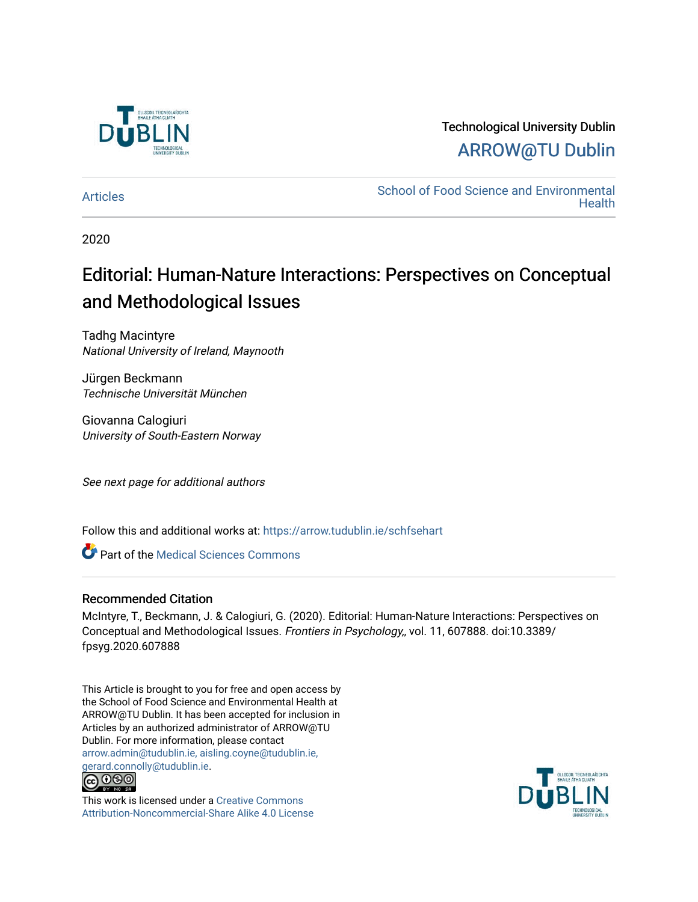

# Technological University Dublin [ARROW@TU Dublin](https://arrow.tudublin.ie/)

[Articles](https://arrow.tudublin.ie/schfsehart) **School of Food Science and Environmental Health** 

2020

# Editorial: Human-Nature Interactions: Perspectives on Conceptual and Methodological Issues

Tadhg Macintyre National University of Ireland, Maynooth

Jürgen Beckmann Technische Universität München

Giovanna Calogiuri University of South-Eastern Norway

See next page for additional authors

Follow this and additional works at: [https://arrow.tudublin.ie/schfsehart](https://arrow.tudublin.ie/schfsehart?utm_source=arrow.tudublin.ie%2Fschfsehart%2F471&utm_medium=PDF&utm_campaign=PDFCoverPages) 

Part of the [Medical Sciences Commons](http://network.bepress.com/hgg/discipline/664?utm_source=arrow.tudublin.ie%2Fschfsehart%2F471&utm_medium=PDF&utm_campaign=PDFCoverPages) 

### Recommended Citation

McIntyre, T., Beckmann, J. & Calogiuri, G. (2020). Editorial: Human-Nature Interactions: Perspectives on Conceptual and Methodological Issues. Frontiers in Psychology,, vol. 11, 607888. doi:10.3389/ fpsyg.2020.607888

This Article is brought to you for free and open access by the School of Food Science and Environmental Health at ARROW@TU Dublin. It has been accepted for inclusion in Articles by an authorized administrator of ARROW@TU Dublin. For more information, please contact [arrow.admin@tudublin.ie, aisling.coyne@tudublin.ie,](mailto:arrow.admin@tudublin.ie,%20aisling.coyne@tudublin.ie,%20gerard.connolly@tudublin.ie)  [gerard.connolly@tudublin.ie](mailto:arrow.admin@tudublin.ie,%20aisling.coyne@tudublin.ie,%20gerard.connolly@tudublin.ie).<br>@009



This work is licensed under a [Creative Commons](http://creativecommons.org/licenses/by-nc-sa/4.0/) [Attribution-Noncommercial-Share Alike 4.0 License](http://creativecommons.org/licenses/by-nc-sa/4.0/)

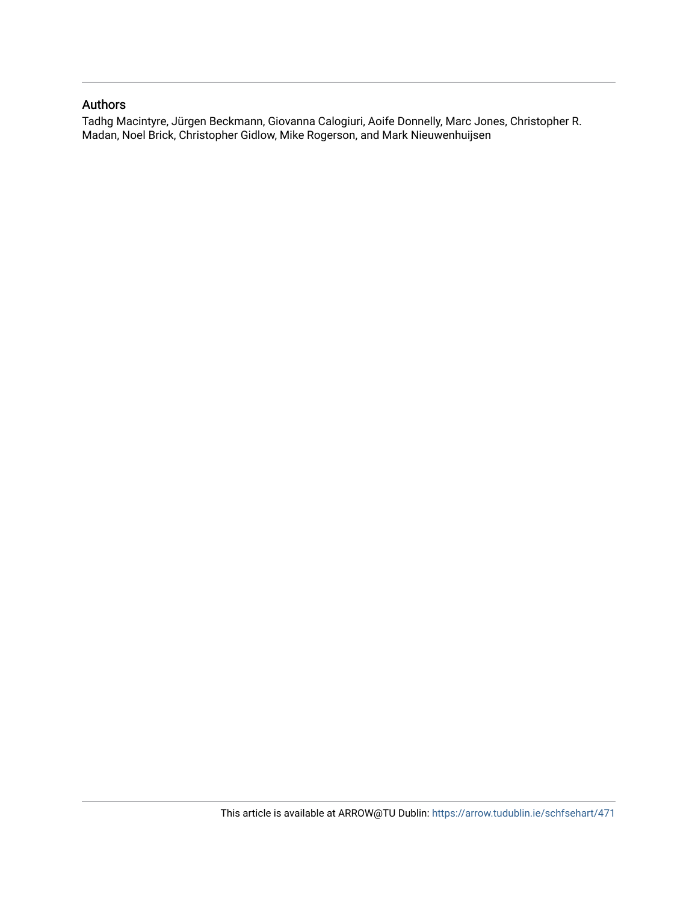### Authors

Tadhg Macintyre, Jürgen Beckmann, Giovanna Calogiuri, Aoife Donnelly, Marc Jones, Christopher R. Madan, Noel Brick, Christopher Gidlow, Mike Rogerson, and Mark Nieuwenhuijsen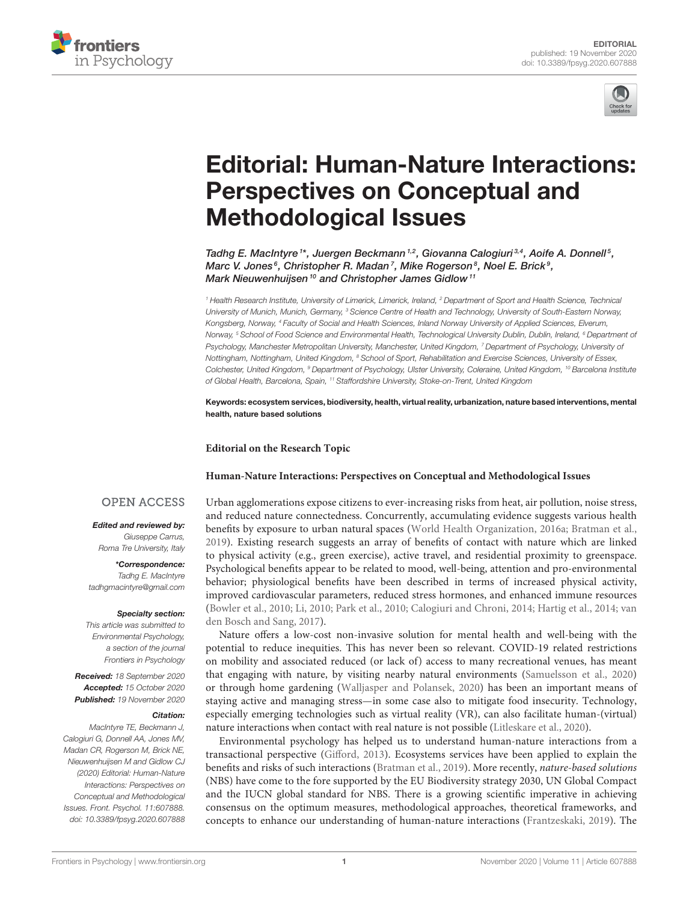



# [Editorial: Human-Nature Interactions:](https://www.frontiersin.org/articles/10.3389/fpsyg.2020.607888/full) Perspectives on Conceptual and Methodological Issues

Tadhg E. MacIntyre  $i^*$ , Juergen Beckmann  $^{1,2}$ , Giovanna Calogiuri  $^{3,4}$ , Aoife A. Donnell  $^5$ , Marc V. Jones<sup>6</sup>, Christopher R. Madan<sup>7</sup>, Mike Rogerson<sup>8</sup>, Noel E. Brick<sup>9</sup>, Mark Nieuwenhuijsen<sup>10</sup> and Christopher James Gidlow<sup>11</sup>

*<sup>1</sup> Health Research Institute, University of Limerick, Limerick, Ireland, <sup>2</sup> Department of Sport and Health Science, Technical University of Munich, Munich, Germany, <sup>3</sup> Science Centre of Health and Technology, University of South-Eastern Norway, Kongsberg, Norway, <sup>4</sup> Faculty of Social and Health Sciences, Inland Norway University of Applied Sciences, Elverum, Norway, <sup>5</sup> School of Food Science and Environmental Health, Technological University Dublin, Dublin, Ireland, <sup>6</sup> Department of Psychology, Manchester Metropolitan University, Manchester, United Kingdom, <sup>7</sup> Department of Psychology, University of Nottingham, Nottingham, United Kingdom, <sup>8</sup> School of Sport, Rehabilitation and Exercise Sciences, University of Essex, Colchester, United Kingdom, <sup>9</sup> Department of Psychology, Ulster University, Coleraine, United Kingdom, <sup>10</sup> Barcelona Institute of Global Health, Barcelona, Spain, <sup>11</sup> Staffordshire University, Stoke-on-Trent, United Kingdom*

Keywords: ecosystem services, biodiversity, health, virtual reality, urbanization, nature based interventions, mental health, nature based solutions

#### **Editorial on the Research Topic**

#### **[Human-Nature Interactions: Perspectives on Conceptual and Methodological Issues](https://www.frontiersin.org/research-topics/7854/human-nature-interactions-perspectives-on-conceptual-and-methodological-issues)**

#### **OPEN ACCESS**

Edited and reviewed by: *Giuseppe Carrus,*

*Roma Tre University, Italy*

\*Correspondence: *Tadhg E. MacIntyre [tadhgmacintyre@gmail.com](mailto:tadhgmacintyre@gmail.com)*

#### Specialty section:

*This article was submitted to Environmental Psychology, a section of the journal Frontiers in Psychology*

Received: *18 September 2020* Accepted: *15 October 2020* Published: *19 November 2020*

#### Citation:

*MacIntyre TE, Beckmann J, Calogiuri G, Donnell AA, Jones MV, Madan CR, Rogerson M, Brick NE, Nieuwenhuijsen M and Gidlow CJ (2020) Editorial: Human-Nature Interactions: Perspectives on Conceptual and Methodological Issues. Front. Psychol. 11:607888. doi: [10.3389/fpsyg.2020.607888](https://doi.org/10.3389/fpsyg.2020.607888)*

Urban agglomerations expose citizens to ever-increasing risks from heat, air pollution, noise stress, and reduced nature connectedness. Concurrently, accumulating evidence suggests various health benefits by exposure to urban natural spaces [\(World Health Organization, 2016a;](#page-5-0) [Bratman et al.,](#page-5-1) [2019\)](#page-5-1). Existing research suggests an array of benefits of contact with nature which are linked to physical activity (e.g., green exercise), active travel, and residential proximity to greenspace. Psychological benefits appear to be related to mood, well-being, attention and pro-environmental behavior; physiological benefits have been described in terms of increased physical activity, improved cardiovascular parameters, reduced stress hormones, and enhanced immune resources [\(Bowler et al., 2010;](#page-5-2) [Li, 2010;](#page-5-3) [Park et al., 2010;](#page-5-4) [Calogiuri and Chroni, 2014;](#page-5-5) [Hartig et al., 2014;](#page-5-6) van den Bosch and Sang, [2017\)](#page-5-7).

Nature offers a low-cost non-invasive solution for mental health and well-being with the potential to reduce inequities. This has never been so relevant. COVID-19 related restrictions on mobility and associated reduced (or lack of) access to many recreational venues, has meant that engaging with nature, by visiting nearby natural environments [\(Samuelsson et al., 2020\)](#page-5-8) or through home gardening [\(Walljasper and Polansek, 2020\)](#page-5-9) has been an important means of staying active and managing stress—in some case also to mitigate food insecurity. Technology, especially emerging technologies such as virtual reality (VR), can also facilitate human-(virtual) nature interactions when contact with real nature is not possible [\(Litleskare et al., 2020\)](#page-5-10).

Environmental psychology has helped us to understand human-nature interactions from a transactional perspective [\(Gifford, 2013\)](#page-5-11). Ecosystems services have been applied to explain the benefits and risks of such interactions [\(Bratman et al., 2019\)](#page-5-1). More recently, nature-based solutions (NBS) have come to the fore supported by the EU Biodiversity strategy 2030, UN Global Compact and the IUCN global standard for NBS. There is a growing scientific imperative in achieving consensus on the optimum measures, methodological approaches, theoretical frameworks, and concepts to enhance our understanding of human-nature interactions [\(Frantzeskaki, 2019\)](#page-5-12). The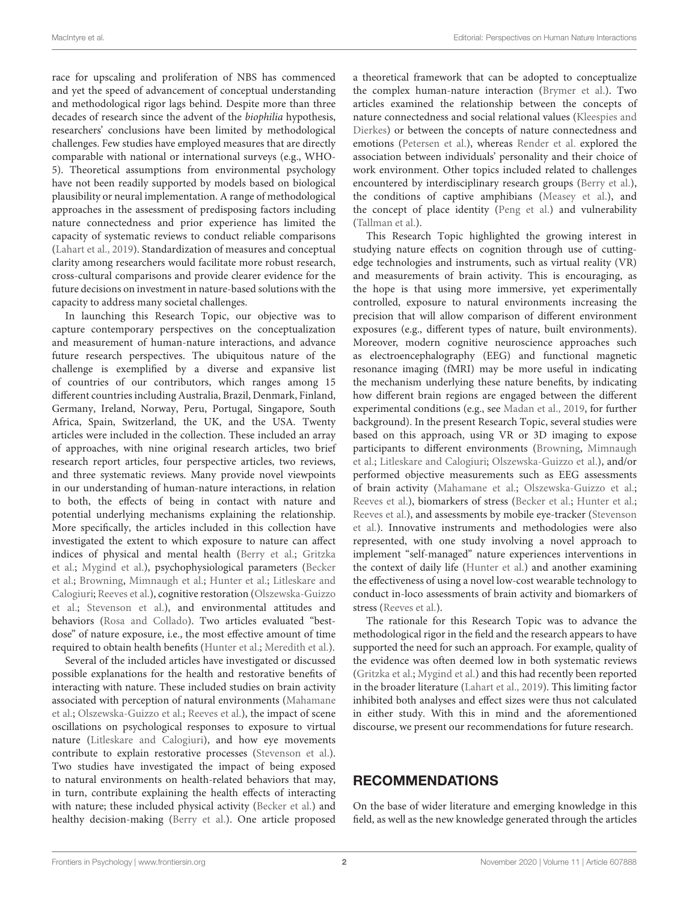race for upscaling and proliferation of NBS has commenced and yet the speed of advancement of conceptual understanding and methodological rigor lags behind. Despite more than three decades of research since the advent of the biophilia hypothesis, researchers' conclusions have been limited by methodological challenges. Few studies have employed measures that are directly comparable with national or international surveys (e.g., WHO-5). Theoretical assumptions from environmental psychology have not been readily supported by models based on biological plausibility or neural implementation. A range of methodological approaches in the assessment of predisposing factors including nature connectedness and prior experience has limited the capacity of systematic reviews to conduct reliable comparisons [\(Lahart et al., 2019\)](#page-5-13). Standardization of measures and conceptual clarity among researchers would facilitate more robust research, cross-cultural comparisons and provide clearer evidence for the future decisions on investment in nature-based solutions with the capacity to address many societal challenges.

In launching this Research Topic, our objective was to capture contemporary perspectives on the conceptualization and measurement of human-nature interactions, and advance future research perspectives. The ubiquitous nature of the challenge is exemplified by a diverse and expansive list of countries of our contributors, which ranges among 15 different countries including Australia, Brazil, Denmark, Finland, Germany, Ireland, Norway, Peru, Portugal, Singapore, South Africa, Spain, Switzerland, the UK, and the USA. Twenty articles were included in the collection. These included an array of approaches, with nine original research articles, two brief research report articles, four perspective articles, two reviews, and three systematic reviews. Many provide novel viewpoints in our understanding of human-nature interactions, in relation to both, the effects of being in contact with nature and potential underlying mechanisms explaining the relationship. More specifically, the articles included in this collection have investigated the extent to which exposure to nature can affect indices of physical and mental health [\(Berry et al.;](https://doi.org/10.3389/fpsyg.2020.01682) Gritzka et al.; [Mygind et al.](https://doi.org/10.3389/fpsyg.2019.00943)[\), psychophysiological parameters \(Becker](https://doi.org/10.3389/fpubh.2019.00026) et al.; Browning, [Mimnaugh et al.;](https://doi.org/10.3389/fpsyg.2019.02667) [Hunter et al.;](https://doi.org/10.3389/fpsyg.2019.00722) Litleskare and Calogiuri; [Reeves et al.\), cognitive restoration \(Olszewska-Guizzo](https://doi.org/10.3389/fpsyg.2019.02436) et al.; [Stevenson et al.\), and environmental attitudes and](https://doi.org/10.3389/fpsyt.2018.00317) behaviors [\(Rosa and Collado\)](https://doi.org/10.3389/fpsyg.2019.00763). Two articles evaluated "bestdose" of nature exposure, i.e., the most effective amount of time required to obtain health benefits [\(Hunter et al.;](https://doi.org/10.3389/fpsyg.2019.00722) [Meredith et al.\)](https://doi.org/10.3389/fpsyg.2019.02942).

Several of the included articles have investigated or discussed possible explanations for the health and restorative benefits of interacting with nature. These included studies on brain activity [associated with perception of natural environments \(Mahamane](https://doi.org/10.3389/fpsyg.2020.00990) et al.; [Olszewska-Guizzo et al.;](https://doi.org/10.3389/fpsyt.2018.00317) [Reeves et al.\)](https://doi.org/10.3389/fpsyg.2019.01840), the impact of scene oscillations on psychological responses to exposure to virtual nature [\(Litleskare and Calogiuri\)](https://doi.org/10.3389/fpsyg.2019.02436), and how eye movements contribute to explain restorative processes [\(Stevenson et al.\)](https://doi.org/10.3389/fpsyg.2019.00042). Two studies have investigated the impact of being exposed to natural environments on health-related behaviors that may, in turn, contribute explaining the health effects of interacting with nature; these included physical activity [\(Becker et al.\)](https://doi.org/10.3389/fpubh.2019.00026) and healthy decision-making [\(Berry et al.\)](https://doi.org/10.3389/fpsyg.2020.01682). One article proposed a theoretical framework that can be adopted to conceptualize the complex human-nature interaction [\(Brymer et al.\)](https://doi.org/10.3389/fpsyg.2020.01362). Two articles examined the relationship between the concepts of nature connectedness and social relational values (Kleespies and [Dierkes\) or between the concepts of nature connectedness and](https://doi.org/10.3389/fpsyg.2020.00209) emotions [\(Petersen et al.\)](https://doi.org/10.3389/fpsyg.2019.02759), whereas [Render et al.](https://doi.org/10.3389/fpsyg.2019.02588) explored the association between individuals' personality and their choice of work environment. Other topics included related to challenges encountered by interdisciplinary research groups [\(Berry et al.\)](https://doi.org/10.3389/fpsyg.2020.01682), the conditions of captive amphibians [\(Measey et al.\)](https://doi.org/10.3389/fevo.2019.00052), and the concept of place identity [\(Peng et al.\)](https://doi.org/10.3389/fpsyg.2020.00294) and vulnerability [\(Tallman et al.\)](https://doi.org/10.3389/fpubh.2019.00352).

This Research Topic highlighted the growing interest in studying nature effects on cognition through use of cuttingedge technologies and instruments, such as virtual reality (VR) and measurements of brain activity. This is encouraging, as the hope is that using more immersive, yet experimentally controlled, exposure to natural environments increasing the precision that will allow comparison of different environment exposures (e.g., different types of nature, built environments). Moreover, modern cognitive neuroscience approaches such as electroencephalography (EEG) and functional magnetic resonance imaging (fMRI) may be more useful in indicating the mechanism underlying these nature benefits, by indicating how different brain regions are engaged between the different experimental conditions (e.g., see [Madan et al., 2019,](#page-5-14) for further background). In the present Research Topic, several studies were based on this approach, using VR or 3D imaging to expose [participants to different environments \(Browning,](https://doi.org/10.3389/fpsyg.2019.02667) Mimnaugh et al.; [Litleskare and Calogiuri;](https://doi.org/10.3389/fpsyg.2019.02436) [Olszewska-Guizzo et al.\)](https://doi.org/10.3389/fpsyt.2018.00317), and/or performed objective measurements such as EEG assessments of brain activity [\(Mahamane et al.;](https://doi.org/10.3389/fpsyg.2020.00990) [Olszewska-Guizzo et al.;](https://doi.org/10.3389/fpsyt.2018.00317) [Reeves et al.\)](https://doi.org/10.3389/fpsyg.2019.01840), biomarkers of stress [\(Becker et al.;](https://doi.org/10.3389/fpubh.2019.00026) [Hunter et al.;](https://doi.org/10.3389/fpsyg.2019.00722) [Reeves et al.\)](https://doi.org/10.3389/fpsyg.2019.01840), and assessments by mobile eye-tracker (Stevenson [et al.\). Innovative instruments and methodologies were also](https://doi.org/10.3389/fpsyg.2019.00042) represented, with one study involving a novel approach to implement "self-managed" nature experiences interventions in the context of daily life [\(Hunter et al.\)](https://doi.org/10.3389/fpsyg.2019.00722) and another examining the effectiveness of using a novel low-cost wearable technology to conduct in-loco assessments of brain activity and biomarkers of stress [\(Reeves et al.\)](https://doi.org/10.3389/fpsyg.2019.01840).

The rationale for this Research Topic was to advance the methodological rigor in the field and the research appears to have supported the need for such an approach. For example, quality of the evidence was often deemed low in both systematic reviews [\(Gritzka et al.;](https://doi.org/10.3389/fpsyt.2020.00323) [Mygind et al.\)](https://doi.org/10.3389/fpsyg.2019.00943) and this had recently been reported in the broader literature [\(Lahart et al., 2019\)](#page-5-13). This limiting factor inhibited both analyses and effect sizes were thus not calculated in either study. With this in mind and the aforementioned discourse, we present our recommendations for future research.

## RECOMMENDATIONS

On the base of wider literature and emerging knowledge in this field, as well as the new knowledge generated through the articles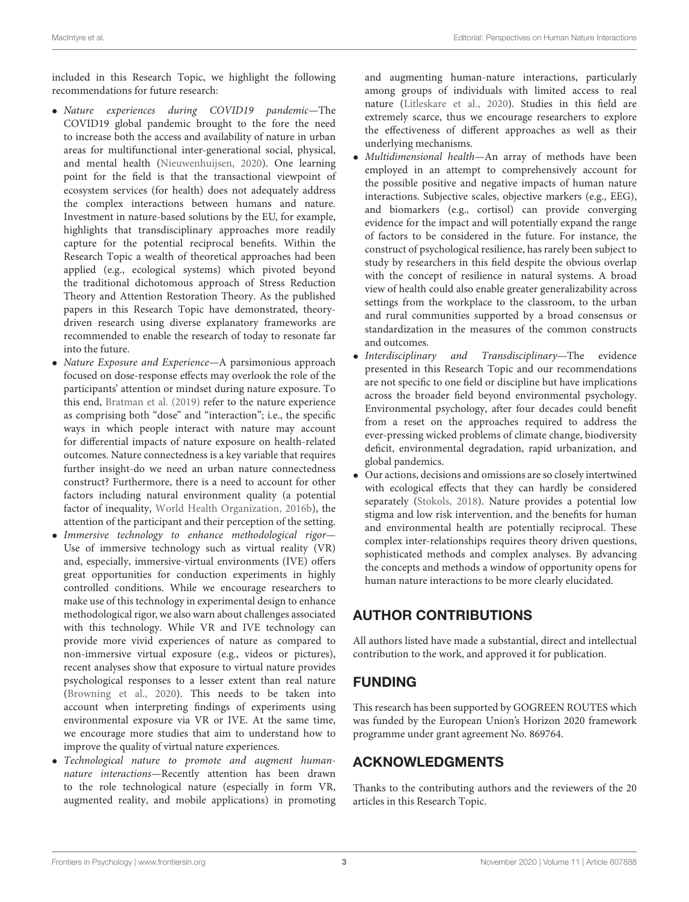included in this Research Topic, we highlight the following recommendations for future research:

- Nature experiences during COVID19 pandemic—The COVID19 global pandemic brought to the fore the need to increase both the access and availability of nature in urban areas for multifunctional inter-generational social, physical, and mental health [\(Nieuwenhuijsen, 2020\)](#page-5-15). One learning point for the field is that the transactional viewpoint of ecosystem services (for health) does not adequately address the complex interactions between humans and nature. Investment in nature-based solutions by the EU, for example, highlights that transdisciplinary approaches more readily capture for the potential reciprocal benefits. Within the Research Topic a wealth of theoretical approaches had been applied (e.g., ecological systems) which pivoted beyond the traditional dichotomous approach of Stress Reduction Theory and Attention Restoration Theory. As the published papers in this Research Topic have demonstrated, theorydriven research using diverse explanatory frameworks are recommended to enable the research of today to resonate far into the future.
- Nature Exposure and Experience—A parsimonious approach focused on dose-response effects may overlook the role of the participants' attention or mindset during nature exposure. To this end, [Bratman et al. \(2019\)](#page-5-1) refer to the nature experience as comprising both "dose" and "interaction"; i.e., the specific ways in which people interact with nature may account for differential impacts of nature exposure on health-related outcomes. Nature connectedness is a key variable that requires further insight-do we need an urban nature connectedness construct? Furthermore, there is a need to account for other factors including natural environment quality (a potential factor of inequality, [World Health Organization, 2016b\)](#page-5-16), the attention of the participant and their perception of the setting.
- Immersive technology to enhance methodological rigor-Use of immersive technology such as virtual reality (VR) and, especially, immersive-virtual environments (IVE) offers great opportunities for conduction experiments in highly controlled conditions. While we encourage researchers to make use of this technology in experimental design to enhance methodological rigor, we also warn about challenges associated with this technology. While VR and IVE technology can provide more vivid experiences of nature as compared to non-immersive virtual exposure (e.g., videos or pictures), recent analyses show that exposure to virtual nature provides psychological responses to a lesser extent than real nature [\(Browning et al., 2020\)](#page-5-17). This needs to be taken into account when interpreting findings of experiments using environmental exposure via VR or IVE. At the same time, we encourage more studies that aim to understand how to improve the quality of virtual nature experiences.
- Technological nature to promote and augment humannature interactions—Recently attention has been drawn to the role technological nature (especially in form VR, augmented reality, and mobile applications) in promoting

and augmenting human-nature interactions, particularly among groups of individuals with limited access to real nature [\(Litleskare et al., 2020\)](#page-5-10). Studies in this field are extremely scarce, thus we encourage researchers to explore the effectiveness of different approaches as well as their underlying mechanisms.

- Multidimensional health—An array of methods have been employed in an attempt to comprehensively account for the possible positive and negative impacts of human nature interactions. Subjective scales, objective markers (e.g., EEG), and biomarkers (e.g., cortisol) can provide converging evidence for the impact and will potentially expand the range of factors to be considered in the future. For instance, the construct of psychological resilience, has rarely been subject to study by researchers in this field despite the obvious overlap with the concept of resilience in natural systems. A broad view of health could also enable greater generalizability across settings from the workplace to the classroom, to the urban and rural communities supported by a broad consensus or standardization in the measures of the common constructs and outcomes.
- Interdisciplinary and Transdisciplinary—The evidence presented in this Research Topic and our recommendations are not specific to one field or discipline but have implications across the broader field beyond environmental psychology. Environmental psychology, after four decades could benefit from a reset on the approaches required to address the ever-pressing wicked problems of climate change, biodiversity deficit, environmental degradation, rapid urbanization, and global pandemics.
- Our actions, decisions and omissions are so closely intertwined with ecological effects that they can hardly be considered separately [\(Stokols, 2018\)](#page-5-18). Nature provides a potential low stigma and low risk intervention, and the benefits for human and environmental health are potentially reciprocal. These complex inter-relationships requires theory driven questions, sophisticated methods and complex analyses. By advancing the concepts and methods a window of opportunity opens for human nature interactions to be more clearly elucidated.

# AUTHOR CONTRIBUTIONS

All authors listed have made a substantial, direct and intellectual contribution to the work, and approved it for publication.

# FUNDING

This research has been supported by GOGREEN ROUTES which was funded by the European Union's Horizon 2020 framework programme under grant agreement No. 869764.

## ACKNOWLEDGMENTS

Thanks to the contributing authors and the reviewers of the 20 articles in this Research Topic.